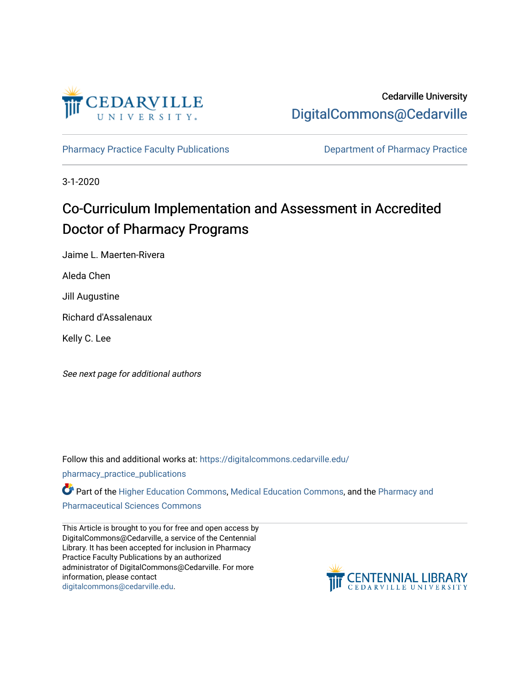

[Pharmacy Practice Faculty Publications](https://digitalcommons.cedarville.edu/pharmacy_practice_publications) **Department of Pharmacy Practice** 

3-1-2020

# Co-Curriculum Implementation and Assessment in Accredited Doctor of Pharmacy Programs

Jaime L. Maerten-Rivera

Aleda Chen

Jill Augustine

Richard d'Assalenaux

Kelly C. Lee

See next page for additional authors

Follow this and additional works at: [https://digitalcommons.cedarville.edu/](https://digitalcommons.cedarville.edu/pharmacy_practice_publications?utm_source=digitalcommons.cedarville.edu%2Fpharmacy_practice_publications%2F415&utm_medium=PDF&utm_campaign=PDFCoverPages)

[pharmacy\\_practice\\_publications](https://digitalcommons.cedarville.edu/pharmacy_practice_publications?utm_source=digitalcommons.cedarville.edu%2Fpharmacy_practice_publications%2F415&utm_medium=PDF&utm_campaign=PDFCoverPages)

Part of the [Higher Education Commons,](http://network.bepress.com/hgg/discipline/1245?utm_source=digitalcommons.cedarville.edu%2Fpharmacy_practice_publications%2F415&utm_medium=PDF&utm_campaign=PDFCoverPages) [Medical Education Commons](http://network.bepress.com/hgg/discipline/1125?utm_source=digitalcommons.cedarville.edu%2Fpharmacy_practice_publications%2F415&utm_medium=PDF&utm_campaign=PDFCoverPages), and the Pharmacy and [Pharmaceutical Sciences Commons](http://network.bepress.com/hgg/discipline/731?utm_source=digitalcommons.cedarville.edu%2Fpharmacy_practice_publications%2F415&utm_medium=PDF&utm_campaign=PDFCoverPages) 

This Article is brought to you for free and open access by DigitalCommons@Cedarville, a service of the Centennial Library. It has been accepted for inclusion in Pharmacy Practice Faculty Publications by an authorized administrator of DigitalCommons@Cedarville. For more information, please contact [digitalcommons@cedarville.edu](mailto:digitalcommons@cedarville.edu).

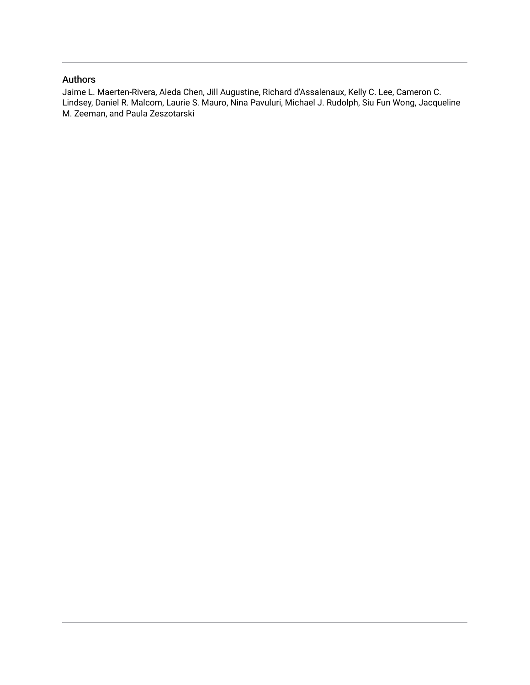#### Authors

Jaime L. Maerten-Rivera, Aleda Chen, Jill Augustine, Richard d'Assalenaux, Kelly C. Lee, Cameron C. Lindsey, Daniel R. Malcom, Laurie S. Mauro, Nina Pavuluri, Michael J. Rudolph, Siu Fun Wong, Jacqueline M. Zeeman, and Paula Zeszotarski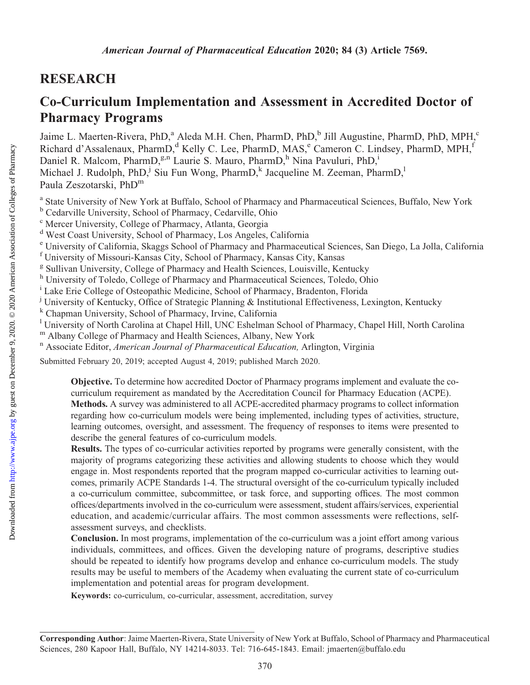# RESEARCH

# Co-Curriculum Implementation and Assessment in Accredited Doctor of Pharmacy Programs

Jaime L. Maerten-Rivera, PhD,<sup>a</sup> Aleda M.H. Chen, PharmD, PhD,<sup>b</sup> Jill Augustine, PharmD, PhD, MPH,<sup>c</sup> Richard d'Assalenaux, PharmD,<sup>d</sup> Kelly C. Lee, PharmD, MAS,<sup>e</sup> Cameron C. Lindsey, PharmD, MPH,<sup>f</sup> Daniel R. Malcom, PharmD,<sup>g,n</sup> Laurie S. Mauro, PharmD,<sup>h</sup> Nina Pavuluri, PhD,<sup>i</sup> Michael J. Rudolph, PhD,<sup>j</sup> Siu Fun Wong, PharmD,<sup>k</sup> Jacqueline M. Zeeman, PharmD,<sup>1</sup> Paula Zeszotarski, PhD<sup>m</sup>

- <sup>a</sup> State University of New York at Buffalo, School of Pharmacy and Pharmaceutical Sciences, Buffalo, New York
- <sup>b</sup> Cedarville University, School of Pharmacy, Cedarville, Ohio
- <sup>c</sup> Mercer University, College of Pharmacy, Atlanta, Georgia
- <sup>d</sup> West Coast University, School of Pharmacy, Los Angeles, California
- <sup>e</sup> University of California, Skaggs School of Pharmacy and Pharmaceutical Sciences, San Diego, La Jolla, California <sup>f</sup> University of Missouri-Kansas City, School of Pharmacy, Kansas City, Kansas
- <sup>g</sup> Sullivan University, College of Pharmacy and Health Sciences, Louisville, Kentucky
- h University of Toledo, College of Pharmacy and Pharmaceutical Sciences, Toledo, Ohio
- <sup>i</sup> Lake Erie College of Osteopathic Medicine, School of Pharmacy, Bradenton, Florida
- <sup>j</sup> University of Kentucky, Office of Strategic Planning & Institutional Effectiveness, Lexington, Kentucky
- <sup>k</sup> Chapman University, School of Pharmacy, Irvine, California
- <sup>1</sup> University of North Carolina at Chapel Hill, UNC Eshelman School of Pharmacy, Chapel Hill, North Carolina
- m Albany College of Pharmacy and Health Sciences, Albany, New York n Associate Editor, *American Journal of Pharmaceutical Education*, Arlington, Virginia
- 

Submitted February 20, 2019; accepted August 4, 2019; published March 2020.

Objective. To determine how accredited Doctor of Pharmacy programs implement and evaluate the cocurriculum requirement as mandated by the Accreditation Council for Pharmacy Education (ACPE). Methods. A survey was administered to all ACPE-accredited pharmacy programs to collect information regarding how co-curriculum models were being implemented, including types of activities, structure, learning outcomes, oversight, and assessment. The frequency of responses to items were presented to describe the general features of co-curriculum models.

Results. The types of co-curricular activities reported by programs were generally consistent, with the majority of programs categorizing these activities and allowing students to choose which they would engage in. Most respondents reported that the program mapped co-curricular activities to learning outcomes, primarily ACPE Standards 1-4. The structural oversight of the co-curriculum typically included a co-curriculum committee, subcommittee, or task force, and supporting offices. The most common offices/departments involved in the co-curriculum were assessment, student affairs/services, experiential education, and academic/curricular affairs. The most common assessments were reflections, selfassessment surveys, and checklists.

Conclusion. In most programs, implementation of the co-curriculum was a joint effort among various individuals, committees, and offices. Given the developing nature of programs, descriptive studies should be repeated to identify how programs develop and enhance co-curriculum models. The study results may be useful to members of the Academy when evaluating the current state of co-curriculum implementation and potential areas for program development.

Keywords: co-curriculum, co-curricular, assessment, accreditation, survey

Corresponding Author: Jaime Maerten-Rivera, State University of New York at Buffalo, School of Pharmacy and Pharmaceutical Sciences, 280 Kapoor Hall, Buffalo, NY 14214-8033. Tel: 716-645-1843. Email: [jmaerten@buffalo.edu](mailto:jmaerten@buffalo.edu)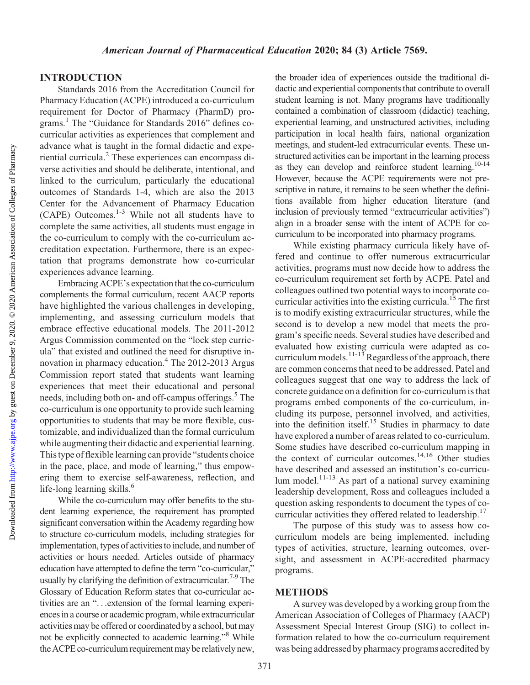### INTRODUCTION

Standards 2016 from the Accreditation Council for Pharmacy Education (ACPE) introduced a co-curriculum requirement for Doctor of Pharmacy (PharmD) programs.1 The "Guidance for Standards 2016" defines cocurricular activities as experiences that complement and advance what is taught in the formal didactic and experiential curricula.2 These experiences can encompass diverse activities and should be deliberate, intentional, and linked to the curriculum, particularly the educational outcomes of Standards 1-4, which are also the 2013 Center for the Advancement of Pharmacy Education (CAPE) Outcomes.1-3 While not all students have to complete the same activities, all students must engage in the co-curriculum to comply with the co-curriculum accreditation expectation. Furthermore, there is an expectation that programs demonstrate how co-curricular experiences advance learning.

Embracing ACPE's expectation that the co-curriculum complements the formal curriculum, recent AACP reports have highlighted the various challenges in developing, implementing, and assessing curriculum models that embrace effective educational models. The 2011-2012 Argus Commission commented on the "lock step curricula" that existed and outlined the need for disruptive innovation in pharmacy education.<sup>4</sup> The 2012-2013 Argus Commission report stated that students want learning experiences that meet their educational and personal needs, including both on- and off-campus offerings.<sup>5</sup> The co-curriculum is one opportunity to provide such learning opportunities to students that may be more flexible, customizable, and individualized than the formal curriculum while augmenting their didactic and experiential learning. This type of flexible learning can provide "students choice in the pace, place, and mode of learning," thus empowering them to exercise self-awareness, reflection, and life-long learning skills.<sup>6</sup>

While the co-curriculum may offer benefits to the student learning experience, the requirement has prompted significant conversation within the Academy regarding how to structure co-curriculum models, including strategies for implementation, types of activities to include, and number of activities or hours needed. Articles outside of pharmacy education have attempted to define the term "co-curricular," usually by clarifying the definition of extracurricular.<sup>7-9</sup> The Glossary of Education Reform states that co-curricular activities are an "...extension of the formal learning experiences in a course or academic program, while extracurricular activities may be offered or coordinated by a school, but may not be explicitly connected to academic learning."8 While the ACPE co-curriculum requirement may be relatively new.

the broader idea of experiences outside the traditional didactic and experiential components that contribute to overall student learning is not. Many programs have traditionally contained a combination of classroom (didactic) teaching, experiential learning, and unstructured activities, including participation in local health fairs, national organization meetings, and student-led extracurricular events. These unstructured activities can be important in the learning process as they can develop and reinforce student learning.<sup>10-14</sup> However, because the ACPE requirements were not prescriptive in nature, it remains to be seen whether the definitions available from higher education literature (and inclusion of previously termed "extracurricular activities") align in a broader sense with the intent of ACPE for cocurriculum to be incorporated into pharmacy programs.

While existing pharmacy curricula likely have offered and continue to offer numerous extracurricular activities, programs must now decide how to address the co-curriculum requirement set forth by ACPE. Patel and colleagues outlined two potential ways to incorporate cocurricular activities into the existing curricula.<sup>15</sup> The first is to modify existing extracurricular structures, while the second is to develop a new model that meets the program's specific needs. Several studies have described and evaluated how existing curricula were adapted as cocurriculum models.<sup>11-13</sup> Regardless of the approach, there are common concerns that need to be addressed. Patel and colleagues suggest that one way to address the lack of concrete guidance on a definition for co-curriculum is that programs embed components of the co-curriculum, including its purpose, personnel involved, and activities, into the definition itself.<sup>15</sup> Studies in pharmacy to date have explored a number of areas related to co-curriculum. Some studies have described co-curriculum mapping in the context of curricular outcomes.<sup>14,16</sup> Other studies have described and assessed an institution's co-curriculum model. $^{11-13}$  As part of a national survey examining leadership development, Ross and colleagues included a question asking respondents to document the types of cocurricular activities they offered related to leadership.17

The purpose of this study was to assess how cocurriculum models are being implemented, including types of activities, structure, learning outcomes, oversight, and assessment in ACPE-accredited pharmacy programs.

#### METHODS

A survey was developed by a working group from the American Association of Colleges of Pharmacy (AACP) Assessment Special Interest Group (SIG) to collect information related to how the co-curriculum requirement was being addressed by pharmacy programs accredited by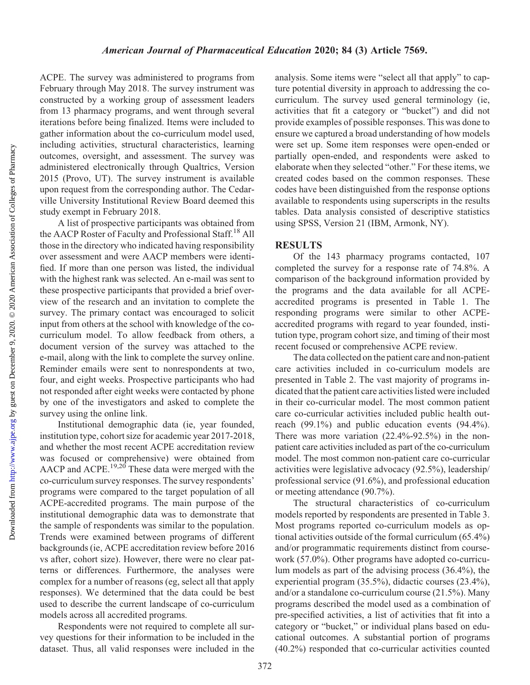ACPE. The survey was administered to programs from February through May 2018. The survey instrument was constructed by a working group of assessment leaders from 13 pharmacy programs, and went through several iterations before being finalized. Items were included to gather information about the co-curriculum model used, including activities, structural characteristics, learning outcomes, oversight, and assessment. The survey was administered electronically through Qualtrics, Version 2015 (Provo, UT). The survey instrument is available upon request from the corresponding author. The Cedarville University Institutional Review Board deemed this study exempt in February 2018.

A list of prospective participants was obtained from the AACP Roster of Faculty and Professional Staff.<sup>18</sup> All those in the directory who indicated having responsibility over assessment and were AACP members were identified. If more than one person was listed, the individual with the highest rank was selected. An e-mail was sent to these prospective participants that provided a brief overview of the research and an invitation to complete the survey. The primary contact was encouraged to solicit input from others at the school with knowledge of the cocurriculum model. To allow feedback from others, a document version of the survey was attached to the e-mail, along with the link to complete the survey online. Reminder emails were sent to nonrespondents at two, four, and eight weeks. Prospective participants who had not responded after eight weeks were contacted by phone by one of the investigators and asked to complete the survey using the online link.

Institutional demographic data (ie, year founded, institution type, cohort size for academic year 2017-2018, and whether the most recent ACPE accreditation review was focused or comprehensive) were obtained from AACP and ACPE.<sup>19,20</sup> These data were merged with the co-curriculum survey responses. The survey respondents' programs were compared to the target population of all ACPE-accredited programs. The main purpose of the institutional demographic data was to demonstrate that the sample of respondents was similar to the population. Trends were examined between programs of different backgrounds (ie, ACPE accreditation review before 2016 vs after, cohort size). However, there were no clear patterns or differences. Furthermore, the analyses were complex for a number of reasons (eg, select all that apply responses). We determined that the data could be best used to describe the current landscape of co-curriculum models across all accredited programs.

Respondents were not required to complete all survey questions for their information to be included in the dataset. Thus, all valid responses were included in the analysis. Some items were "select all that apply" to capture potential diversity in approach to addressing the cocurriculum. The survey used general terminology (ie, activities that fit a category or "bucket") and did not provide examples of possible responses. This was done to ensure we captured a broad understanding of how models were set up. Some item responses were open-ended or partially open-ended, and respondents were asked to elaborate when they selected "other." For these items, we created codes based on the common responses. These codes have been distinguished from the response options available to respondents using superscripts in the results tables. Data analysis consisted of descriptive statistics using SPSS, Version 21 (IBM, Armonk, NY).

### RESULTS

Of the 143 pharmacy programs contacted, 107 completed the survey for a response rate of 74.8%. A comparison of the background information provided by the programs and the data available for all ACPEaccredited programs is presented in Table 1. The responding programs were similar to other ACPEaccredited programs with regard to year founded, institution type, program cohort size, and timing of their most recent focused or comprehensive ACPE review.

The data collected on the patient care and non-patient care activities included in co-curriculum models are presented in Table 2. The vast majority of programs indicated that the patient care activities listed were included in their co-curricular model. The most common patient care co-curricular activities included public health outreach (99.1%) and public education events (94.4%). There was more variation (22.4%-92.5%) in the nonpatient care activities included as part of the co-curriculum model. The most common non-patient care co-curricular activities were legislative advocacy (92.5%), leadership/ professional service (91.6%), and professional education or meeting attendance (90.7%).

The structural characteristics of co-curriculum models reported by respondents are presented in Table 3. Most programs reported co-curriculum models as optional activities outside of the formal curriculum (65.4%) and/or programmatic requirements distinct from coursework (57.0%). Other programs have adopted co-curriculum models as part of the advising process (36.4%), the experiential program (35.5%), didactic courses (23.4%), and/or a standalone co-curriculum course (21.5%). Many programs described the model used as a combination of pre-specified activities, a list of activities that fit into a category or "bucket," or individual plans based on educational outcomes. A substantial portion of programs (40.2%) responded that co-curricular activities counted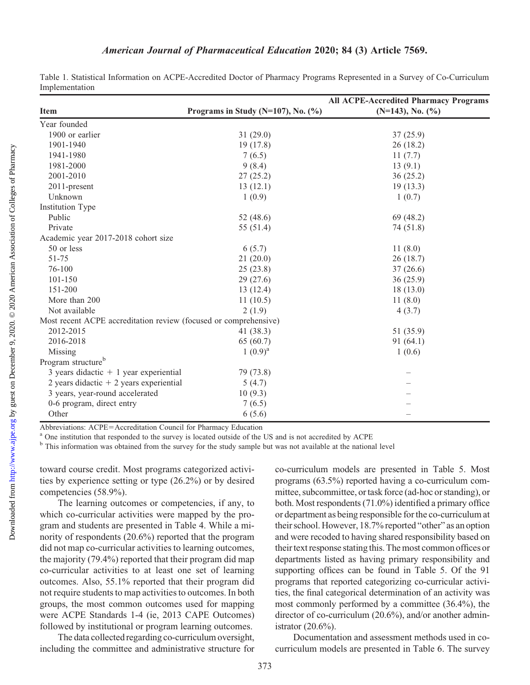<http://www.ajpe.org>

Downloaded from

### American Journal of Pharmaceutical Education 2020; 84 (3) Article 7569.

| Table 1. Statistical Information on ACPE-Accredited Doctor of Pharmacy Programs Represented in a Survey of Co-Curriculum |  |  |  |  |  |
|--------------------------------------------------------------------------------------------------------------------------|--|--|--|--|--|
| Implementation                                                                                                           |  |  |  |  |  |

|                                                                  |                                        | <b>All ACPE-Accredited Pharmacy Programs</b> |
|------------------------------------------------------------------|----------------------------------------|----------------------------------------------|
| <b>Item</b>                                                      | Programs in Study (N=107), No. $(\%$ ) | $(N=143)$ , No. $(\frac{9}{6})$              |
| Year founded                                                     |                                        |                                              |
| 1900 or earlier                                                  | 31(29.0)                               | 37(25.9)                                     |
| 1901-1940                                                        | 19(17.8)                               | 26(18.2)                                     |
| 1941-1980                                                        | 7(6.5)                                 | 11(7.7)                                      |
| 1981-2000                                                        | 9(8.4)                                 | 13(9.1)                                      |
| 2001-2010                                                        | 27(25.2)                               | 36(25.2)                                     |
| 2011-present                                                     | 13(12.1)                               | 19(13.3)                                     |
| Unknown                                                          | 1(0.9)                                 | 1(0.7)                                       |
| <b>Institution Type</b>                                          |                                        |                                              |
| Public                                                           | 52 $(48.6)$                            | 69 (48.2)                                    |
| Private                                                          | 55 (51.4)                              | 74 (51.8)                                    |
| Academic year 2017-2018 cohort size                              |                                        |                                              |
| 50 or less                                                       | 6(5.7)                                 | 11(8.0)                                      |
| 51-75                                                            | 21(20.0)                               | 26(18.7)                                     |
| 76-100                                                           | 25(23.8)                               | 37(26.6)                                     |
| 101-150                                                          | 29(27.6)                               | 36(25.9)                                     |
| 151-200                                                          | 13(12.4)                               | 18(13.0)                                     |
| More than 200                                                    | 11(10.5)                               | 11(8.0)                                      |
| Not available                                                    | 2(1.9)                                 | 4(3.7)                                       |
| Most recent ACPE accreditation review (focused or comprehensive) |                                        |                                              |
| 2012-2015                                                        | 41 $(38.3)$                            | 51 (35.9)                                    |
| 2016-2018                                                        | 65 (60.7)                              | 91(64.1)                                     |
| Missing                                                          | $1(0.9)^a$                             | 1(0.6)                                       |
| Program structure <sup>b</sup>                                   |                                        |                                              |
| 3 years didactic $+1$ year experiential                          | 79 (73.8)                              |                                              |
| 2 years didactic $+$ 2 years experiential                        | 5(4.7)                                 |                                              |
| 3 years, year-round accelerated                                  | 10(9.3)                                |                                              |
| 0-6 program, direct entry                                        | 7(6.5)                                 |                                              |
| Other                                                            | 6(5.6)                                 |                                              |

Abbreviations: ACPE=Accreditation Council for Pharmacy Education<br><sup>a</sup> One institution that responded to the survey is located outside of the US and is not accredited by ACPE

<sup>b</sup> This information was obtained from the survey for the study sample but was not available at the national level

toward course credit. Most programs categorized activities by experience setting or type (26.2%) or by desired competencies (58.9%).

The learning outcomes or competencies, if any, to which co-curricular activities were mapped by the program and students are presented in Table 4. While a minority of respondents (20.6%) reported that the program did not map co-curricular activities to learning outcomes, the majority (79.4%) reported that their program did map co-curricular activities to at least one set of learning outcomes. Also, 55.1% reported that their program did not require students to map activities to outcomes. In both groups, the most common outcomes used for mapping were ACPE Standards 1-4 (ie, 2013 CAPE Outcomes) followed by institutional or program learning outcomes.

The data collected regarding co-curriculum oversight, including the committee and administrative structure for co-curriculum models are presented in Table 5. Most programs (63.5%) reported having a co-curriculum committee, subcommittee, ortask force (ad-hoc or standing), or both. Most respondents (71.0%) identified a primary office or department as being responsible for the co-curriculum at their school. However, 18.7% reported "other" as an option and were recoded to having shared responsibility based on their text response stating this. The most common offices or departments listed as having primary responsibility and supporting offices can be found in Table 5. Of the 91 programs that reported categorizing co-curricular activities, the final categorical determination of an activity was most commonly performed by a committee (36.4%), the director of co-curriculum (20.6%), and/or another administrator (20.6%).

Documentation and assessment methods used in cocurriculum models are presented in Table 6. The survey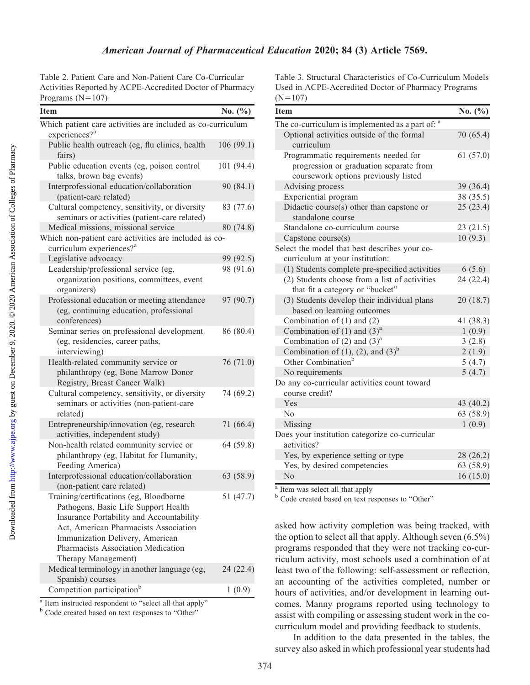Table 2. Patient Care and Non-Patient Care Co-Curricular Activities Reported by ACPE-Accredited Doctor of Pharmacy Programs  $(N=107)$ 

| <b>Item</b>                                                                                                                                                                                                                                                          | No. $(\%)$ |
|----------------------------------------------------------------------------------------------------------------------------------------------------------------------------------------------------------------------------------------------------------------------|------------|
| Which patient care activities are included as co-curriculum                                                                                                                                                                                                          |            |
| experiences? <sup>a</sup>                                                                                                                                                                                                                                            |            |
| Public health outreach (eg, flu clinics, health<br>fairs)                                                                                                                                                                                                            | 106(99.1)  |
| Public education events (eg, poison control<br>talks, brown bag events)                                                                                                                                                                                              | 101 (94.4) |
| Interprofessional education/collaboration<br>(patient-care related)                                                                                                                                                                                                  | 90 (84.1)  |
| Cultural competency, sensitivity, or diversity<br>seminars or activities (patient-care related)                                                                                                                                                                      | 83 (77.6)  |
| Medical missions, missional service                                                                                                                                                                                                                                  | 80 (74.8)  |
| Which non-patient care activities are included as co-                                                                                                                                                                                                                |            |
| curriculum experiences? <sup>a</sup>                                                                                                                                                                                                                                 |            |
| Legislative advocacy                                                                                                                                                                                                                                                 | 99 (92.5)  |
| Leadership/professional service (eg,<br>organization positions, committees, event<br>organizers)                                                                                                                                                                     | 98 (91.6)  |
| Professional education or meeting attendance<br>(eg, continuing education, professional<br>conferences)                                                                                                                                                              | 97 (90.7)  |
| Seminar series on professional development<br>(eg, residencies, career paths,<br>interviewing)                                                                                                                                                                       | 86 (80.4)  |
| Health-related community service or<br>philanthropy (eg, Bone Marrow Donor<br>Registry, Breast Cancer Walk)                                                                                                                                                          | 76 (71.0)  |
| Cultural competency, sensitivity, or diversity<br>seminars or activities (non-patient-care<br>related)                                                                                                                                                               | 74 (69.2)  |
| Entrepreneurship/innovation (eg, research<br>activities, independent study)                                                                                                                                                                                          | 71 (66.4)  |
| Non-health related community service or<br>philanthropy (eg, Habitat for Humanity,<br>Feeding America)                                                                                                                                                               | 64 (59.8)  |
| Interprofessional education/collaboration<br>(non-patient care related)                                                                                                                                                                                              | 63 (58.9)  |
| Training/certifications (eg, Bloodborne<br>Pathogens, Basic Life Support Health<br>Insurance Portability and Accountability<br>Act, American Pharmacists Association<br>Immunization Delivery, American<br>Pharmacists Association Medication<br>Therapy Management) | 51 (47.7)  |
| Medical terminology in another language (eg,<br>Spanish) courses                                                                                                                                                                                                     | 24 (22.4)  |
| Competition participation <sup>b</sup>                                                                                                                                                                                                                               | 1(0.9)     |

<sup>a</sup> Item instructed respondent to "select all that apply"

<sup>b</sup> Code created based on text responses to "Other"

Table 3. Structural Characteristics of Co-Curriculum Models Used in ACPE-Accredited Doctor of Pharmacy Programs  $(N=107)$ 

| <b>Item</b>                                                                      | No. $(\%)$ |
|----------------------------------------------------------------------------------|------------|
| The co-curriculum is implemented as a part of: a                                 |            |
| Optional activities outside of the formal<br>curriculum                          | 70 (65.4)  |
| Programmatic requirements needed for                                             | 61(57.0)   |
| progression or graduation separate from<br>coursework options previously listed  |            |
| Advising process                                                                 | 39 (36.4)  |
| Experiential program                                                             | 38 (35.5)  |
| Didactic course(s) other than capstone or<br>standalone course                   | 25(23.4)   |
| Standalone co-curriculum course                                                  | 23(21.5)   |
| Capstone course(s)                                                               | 10(9.3)    |
| Select the model that best describes your co-<br>curriculum at your institution: |            |
| (1) Students complete pre-specified activities                                   | 6(5.6)     |
| (2) Students choose from a list of activities<br>that fit a category or "bucket" | 24 (22.4)  |
| (3) Students develop their individual plans<br>based on learning outcomes        | 20(18.7)   |
| Combination of $(1)$ and $(2)$                                                   | 41 (38.3)  |
| Combination of $(1)$ and $(3)a$                                                  | 1(0.9)     |
| Combination of $(2)$ and $(3)^{a}$                                               | 3(2.8)     |
| Combination of $(1)$ , $(2)$ , and $(3)^{b}$                                     | 2(1.9)     |
| Other Combination <sup>b</sup>                                                   | 5(4.7)     |
| No requirements                                                                  | 5(4.7)     |
| Do any co-curricular activities count toward<br>course credit?                   |            |
| Yes                                                                              | 43 (40.2)  |
| No                                                                               | 63 (58.9)  |
| Missing                                                                          | 1(0.9)     |
| Does your institution categorize co-curricular<br>activities?                    |            |
| Yes, by experience setting or type                                               | 28 (26.2)  |
| Yes, by desired competencies                                                     | 63 (58.9)  |
| No                                                                               | 16(15.0)   |

<sup>a</sup> Item was select all that apply

<sup>b</sup> Code created based on text responses to "Other"

asked how activity completion was being tracked, with the option to select all that apply. Although seven (6.5%) programs responded that they were not tracking co-curriculum activity, most schools used a combination of at least two of the following: self-assessment or reflection, an accounting of the activities completed, number or hours of activities, and/or development in learning outcomes. Manny programs reported using technology to assist with compiling or assessing student work in the cocurriculum model and providing feedback to students.

In addition to the data presented in the tables, the survey also asked in which professional year students had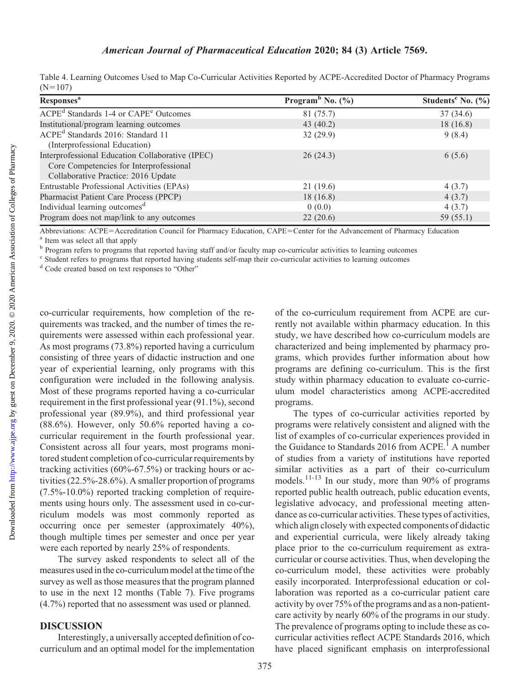## American Journal of Pharmaceutical Education 2020; 84 (3) Article 7569.

| Table 4. Learning Outcomes Used to Map Co-Curricular Activities Reported by ACPE-Accredited Doctor of Pharmacy Programs |  |  |  |
|-------------------------------------------------------------------------------------------------------------------------|--|--|--|
| $(N=107)$                                                                                                               |  |  |  |

| Responses <sup>a</sup>                                                                                                             | Program <sup>b</sup> No. $(\% )$ | Students <sup>c</sup> No. $(\%$ |
|------------------------------------------------------------------------------------------------------------------------------------|----------------------------------|---------------------------------|
| ACPE <sup>d</sup> Standards 1-4 or CAPE <sup>e</sup> Outcomes                                                                      | 81 (75.7)                        | 37(34.6)                        |
| Institutional/program learning outcomes                                                                                            | 43 $(40.2)$                      | 18(16.8)                        |
| ACPE <sup>d</sup> Standards 2016: Standard 11<br>(Interprofessional Education)                                                     | 32(29.9)                         | 9(8.4)                          |
| Interprofessional Education Collaborative (IPEC)<br>Core Competencies for Interprofessional<br>Collaborative Practice: 2016 Update | 26(24.3)                         | 6(5.6)                          |
| Entrustable Professional Activities (EPAs)                                                                                         | 21(19.6)                         | 4(3.7)                          |
| Pharmacist Patient Care Process (PPCP)                                                                                             | 18(16.8)                         | 4(3.7)                          |
| Individual learning outcomes <sup>d</sup>                                                                                          | 0(0.0)                           | 4(3.7)                          |
| Program does not map/link to any outcomes                                                                                          | 22(20.6)                         | 59 (55.1)                       |

Abbreviations: ACPE=Accreditation Council for Pharmacy Education, CAPE=Center for the Advancement of Pharmacy Education <sup>a</sup> Item was select all that apply

b Program refers to programs that reported having staff and/or faculty map co-curricular activities to learning outcomes

<sup>c</sup> Student refers to programs that reported having students self-map their co-curricular activities to learning outcomes

<sup>d</sup> Code created based on text responses to "Other"

co-curricular requirements, how completion of the requirements was tracked, and the number of times the requirements were assessed within each professional year. As most programs (73.8%) reported having a curriculum consisting of three years of didactic instruction and one year of experiential learning, only programs with this configuration were included in the following analysis. Most of these programs reported having a co-curricular requirement in the first professional year (91.1%), second professional year (89.9%), and third professional year (88.6%). However, only 50.6% reported having a cocurricular requirement in the fourth professional year. Consistent across all four years, most programs monitored student completion of co-curricular requirements by tracking activities (60%-67.5%) or tracking hours or activities (22.5%-28.6%). A smaller proportion of programs (7.5%-10.0%) reported tracking completion of requirements using hours only. The assessment used in co-curriculum models was most commonly reported as occurring once per semester (approximately 40%), though multiple times per semester and once per year were each reported by nearly 25% of respondents.

The survey asked respondents to select all of the measures used in the co-curriculum model at the time of the survey as well as those measures that the program planned to use in the next 12 months (Table 7). Five programs (4.7%) reported that no assessment was used or planned.

#### DISCUSSION

Interestingly, a universally accepted definition of cocurriculum and an optimal model for the implementation

of the co-curriculum requirement from ACPE are currently not available within pharmacy education. In this study, we have described how co-curriculum models are characterized and being implemented by pharmacy programs, which provides further information about how programs are defining co-curriculum. This is the first study within pharmacy education to evaluate co-curriculum model characteristics among ACPE-accredited programs.

The types of co-curricular activities reported by programs were relatively consistent and aligned with the list of examples of co-curricular experiences provided in the Guidance to Standards 2016 from  $ACPE<sup>1</sup>$  A number of studies from a variety of institutions have reported similar activities as a part of their co-curriculum models.<sup>11-13</sup> In our study, more than  $90\%$  of programs reported public health outreach, public education events, legislative advocacy, and professional meeting attendance as co-curricular activities. These types of activities, which align closely with expected components of didactic and experiential curricula, were likely already taking place prior to the co-curriculum requirement as extracurricular or course activities. Thus, when developing the co-curriculum model, these activities were probably easily incorporated. Interprofessional education or collaboration was reported as a co-curricular patient care activity by over 75% of the programs and as a non-patientcare activity by nearly 60% of the programs in our study. The prevalence of programs opting to include these as cocurricular activities reflect ACPE Standards 2016, which have placed significant emphasis on interprofessional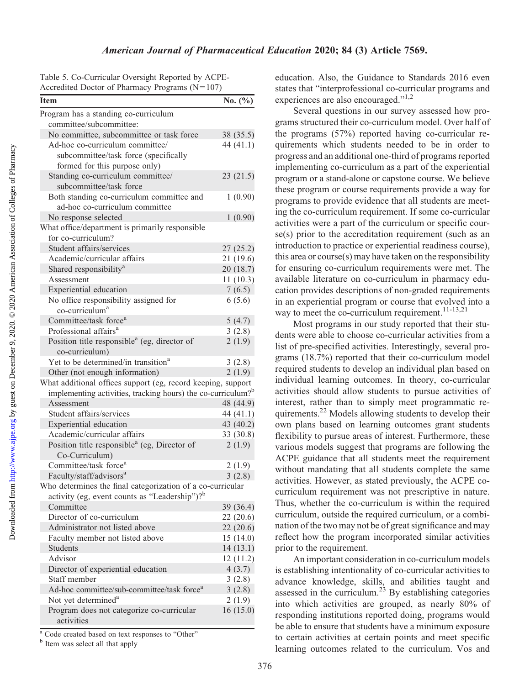Table 5. Co-Curricular Oversight Reported by ACPE-Accredited Doctor of Pharmacy Programs  $(N=107)$ 

| $\alpha$<br>$110$ stand $(1)$                                            |             |
|--------------------------------------------------------------------------|-------------|
| <b>Item</b>                                                              | No. $(\% )$ |
| Program has a standing co-curriculum                                     |             |
| committee/subcommittee:                                                  |             |
| No committee, subcommittee or task force                                 | 38 (35.5)   |
| Ad-hoc co-curriculum committee/                                          | 44 $(41.1)$ |
| subcommittee/task force (specifically                                    |             |
| formed for this purpose only)                                            |             |
| Standing co-curriculum committee/                                        | 23(21.5)    |
| subcommittee/task force                                                  |             |
| Both standing co-curriculum committee and                                | 1(0.90)     |
| ad-hoc co-curriculum committee                                           |             |
| No response selected                                                     | 1(0.90)     |
| What office/department is primarily responsible                          |             |
| for co-curriculum?                                                       |             |
| Student affairs/services                                                 | 27(25.2)    |
| Academic/curricular affairs                                              | 21(19.6)    |
| Shared responsibility <sup>a</sup>                                       | 20(18.7)    |
| Assessment                                                               | 11(10.3)    |
| Experiential education                                                   | 7(6.5)      |
| No office responsibility assigned for                                    | 6(5.6)      |
| co-curriculum <sup>a</sup>                                               |             |
| Committee/task force <sup>a</sup>                                        | 5(4.7)      |
| Professional affairs <sup>a</sup>                                        | 3(2.8)      |
| Position title responsible <sup>a</sup> (eg, director of                 | 2(1.9)      |
| co-curriculum)                                                           |             |
| Yet to be determined/in transition <sup>a</sup>                          | 3(2.8)      |
| Other (not enough information)                                           | 2(1.9)      |
| What additional offices support (eg, record keeping, support             |             |
| implementing activities, tracking hours) the co-curriculum? <sup>b</sup> |             |
| Assessment                                                               | 48 (44.9)   |
| Student affairs/services                                                 | 44 (41.1)   |
| Experiential education                                                   | 43 (40.2)   |
| Academic/curricular affairs                                              | 33 (30.8)   |
| Position title responsible <sup>a</sup> (eg, Director of                 | 2(1.9)      |
| Co-Curriculum)                                                           |             |
| Committee/task force <sup>a</sup>                                        | 2(1.9)      |
| Faculty/staff/advisors <sup>a</sup>                                      | 3(2.8)      |
| Who determines the final categorization of a co-curricular               |             |
| activity (eg, event counts as "Leadership")? $b^b$                       |             |
| Committee                                                                | 39 (36.4)   |
| Director of co-curriculum                                                | 22(20.6)    |
| Administrator not listed above                                           | 22(20.6)    |
| Faculty member not listed above                                          | 15(14.0)    |
| <b>Students</b>                                                          | 14(13.1)    |
| Advisor                                                                  | 12(11.2)    |
| Director of experiential education                                       | 4(3.7)      |
| Staff member                                                             | 3(2.8)      |
| Ad-hoc committee/sub-committee/task force <sup>a</sup>                   | 3(2.8)      |
| Not yet determined <sup>a</sup>                                          | 2(1.9)      |
| Program does not categorize co-curricular                                | 16(15.0)    |
| activities                                                               |             |

<sup>a</sup> Code created based on text responses to "Other"

<sup>b</sup> Item was select all that apply

education. Also, the Guidance to Standards 2016 even states that "interprofessional co-curricular programs and experiences are also encouraged."<sup>1,2</sup>

Several questions in our survey assessed how programs structured their co-curriculum model. Over half of the programs (57%) reported having co-curricular requirements which students needed to be in order to progress and an additional one-third of programs reported implementing co-curriculum as a part of the experiential program or a stand-alone or capstone course. We believe these program or course requirements provide a way for programs to provide evidence that all students are meeting the co-curriculum requirement. If some co-curricular activities were a part of the curriculum or specific course(s) prior to the accreditation requirement (such as an introduction to practice or experiential readiness course), this area or course(s) may have taken on the responsibility for ensuring co-curriculum requirements were met. The available literature on co-curriculum in pharmacy education provides descriptions of non-graded requirements in an experiential program or course that evolved into a way to meet the co-curriculum requirement.<sup>11-13,21</sup>

Most programs in our study reported that their students were able to choose co-curricular activities from a list of pre-specified activities. Interestingly, several programs (18.7%) reported that their co-curriculum model required students to develop an individual plan based on individual learning outcomes. In theory, co-curricular activities should allow students to pursue activities of interest, rather than to simply meet programmatic requirements.<sup>22</sup> Models allowing students to develop their own plans based on learning outcomes grant students flexibility to pursue areas of interest. Furthermore, these various models suggest that programs are following the ACPE guidance that all students meet the requirement without mandating that all students complete the same activities. However, as stated previously, the ACPE cocurriculum requirement was not prescriptive in nature. Thus, whether the co-curriculum is within the required curriculum, outside the required curriculum, or a combination of the two may not be of great significance and may reflect how the program incorporated similar activities prior to the requirement.

An important consideration in co-curriculum models is establishing intentionality of co-curricular activities to advance knowledge, skills, and abilities taught and assessed in the curriculum.<sup>23</sup> By establishing categories into which activities are grouped, as nearly 80% of responding institutions reported doing, programs would be able to ensure that students have a minimum exposure to certain activities at certain points and meet specific learning outcomes related to the curriculum. Vos and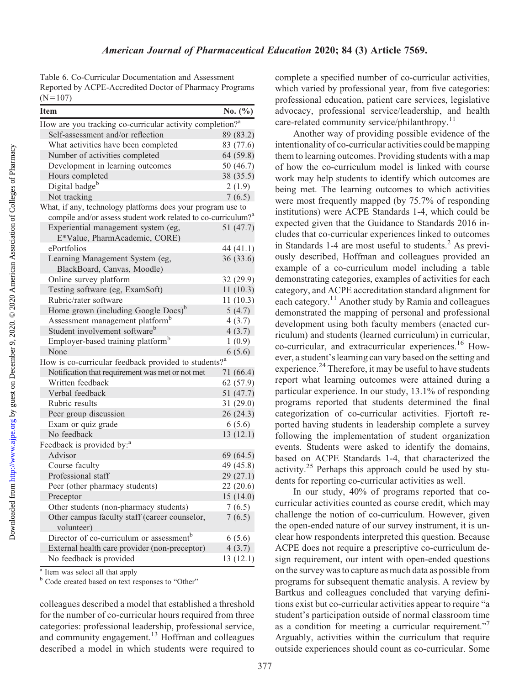Table 6. Co-Curricular Documentation and Assessment Reported by ACPE-Accredited Doctor of Pharmacy Programs  $(N=107)$ 

| <b>Item</b>                                                               | No. $(\% )$ |
|---------------------------------------------------------------------------|-------------|
| How are you tracking co-curricular activity completion? <sup>a</sup>      |             |
| Self-assessment and/or reflection                                         | 89 (83.2)   |
| What activities have been completed                                       | 83 (77.6)   |
| Number of activities completed                                            | 64 (59.8)   |
| Development in learning outcomes                                          | 50 (46.7)   |
| Hours completed                                                           | 38 (35.5)   |
| Digital badge <sup>b</sup>                                                | 2(1.9)      |
| Not tracking                                                              | 7(6.5)      |
| What, if any, technology platforms does your program use to               |             |
| compile and/or assess student work related to co-curriculum? <sup>a</sup> |             |
| Experiential management system (eg,<br>E*Value, PharmAcademic, CORE)      | 51 (47.7)   |
| ePortfolios                                                               | 44 (41.1)   |
| Learning Management System (eg,<br>BlackBoard, Canvas, Moodle)            | 36 (33.6)   |
| Online survey platform                                                    | 32 (29.9)   |
| Testing software (eg, ExamSoft)                                           | 11(10.3)    |
| Rubric/rater software                                                     | 11(10.3)    |
| Home grown (including Google Docs) <sup>b</sup>                           | 5(4.7)      |
| Assessment management platform <sup>b</sup>                               | 4(3.7)      |
| Student involvement software <sup>b</sup>                                 | 4(3.7)      |
| Employer-based training platform <sup>b</sup>                             | 1(0.9)      |
| None                                                                      | 6(5.6)      |
| How is co-curricular feedback provided to students? <sup>a</sup>          |             |
| Notification that requirement was met or not met                          | 71 (66.4)   |
| Written feedback                                                          | 62 (57.9)   |
| Verbal feedback                                                           | 51 (47.7)   |
| Rubric results                                                            | 31 (29.0)   |
| Peer group discussion                                                     | 26 (24.3)   |
| Exam or quiz grade                                                        | 6(5.6)      |
| No feedback                                                               | 13(12.1)    |
| Feedback is provided by: <sup>a</sup>                                     |             |
| Advisor                                                                   | 69 (64.5)   |
| Course faculty                                                            | 49 (45.8)   |
| Professional staff                                                        | 29(27.1)    |
| Peer (other pharmacy students)                                            | 22 (20.6)   |
| Preceptor                                                                 | 15 (14.0)   |
| Other students (non-pharmacy students)                                    | 7(6.5)      |
| Other campus faculty staff (career counselor,<br>volunteer)               | 7(6.5)      |
| Director of co-curriculum or assessment <sup>b</sup>                      | 6(5.6)      |
| External health care provider (non-preceptor)                             | 4(3.7)      |
| No feedback is provided                                                   | 13(12.1)    |

<sup>a</sup> Item was select all that apply

<sup>b</sup> Code created based on text responses to "Other"

colleagues described a model that established a threshold for the number of co-curricular hours required from three categories: professional leadership, professional service, and community engagement.<sup>13</sup> Hoffman and colleagues described a model in which students were required to

complete a specified number of co-curricular activities, which varied by professional year, from five categories: professional education, patient care services, legislative advocacy, professional service/leadership, and health care-related community service/philanthropy.<sup>11</sup>

Another way of providing possible evidence of the intentionality of co-curricular activities could be mapping them to learning outcomes. Providing students with a map of how the co-curriculum model is linked with course work may help students to identify which outcomes are being met. The learning outcomes to which activities were most frequently mapped (by 75.7% of responding institutions) were ACPE Standards 1-4, which could be expected given that the Guidance to Standards 2016 includes that co-curricular experiences linked to outcomes in Standards 1-4 are most useful to students. $<sup>2</sup>$  As previ-</sup> ously described, Hoffman and colleagues provided an example of a co-curriculum model including a table demonstrating categories, examples of activities for each category, and ACPE accreditation standard alignment for each category.11 Another study by Ramia and colleagues demonstrated the mapping of personal and professional development using both faculty members (enacted curriculum) and students (learned curriculum) in curricular, co-curricular, and extracurricular experiences.<sup>16</sup> However, a student's learning can vary based on the setting and experience.<sup>24</sup> Therefore, it may be useful to have students report what learning outcomes were attained during a particular experience. In our study, 13.1% of responding programs reported that students determined the final categorization of co-curricular activities. Fjortoft reported having students in leadership complete a survey following the implementation of student organization events. Students were asked to identify the domains, based on ACPE Standards 1-4, that characterized the activity.<sup>25</sup> Perhaps this approach could be used by students for reporting co-curricular activities as well.

In our study, 40% of programs reported that cocurricular activities counted as course credit, which may challenge the notion of co-curriculum. However, given the open-ended nature of our survey instrument, it is unclear how respondents interpreted this question. Because ACPE does not require a prescriptive co-curriculum design requirement, our intent with open-ended questions on the survey was to capture as much data as possible from programs for subsequent thematic analysis. A review by Bartkus and colleagues concluded that varying definitions exist but co-curricular activities appear to require "a student's participation outside of normal classroom time as a condition for meeting a curricular requirement." Arguably, activities within the curriculum that require outside experiences should count as co-curricular. Some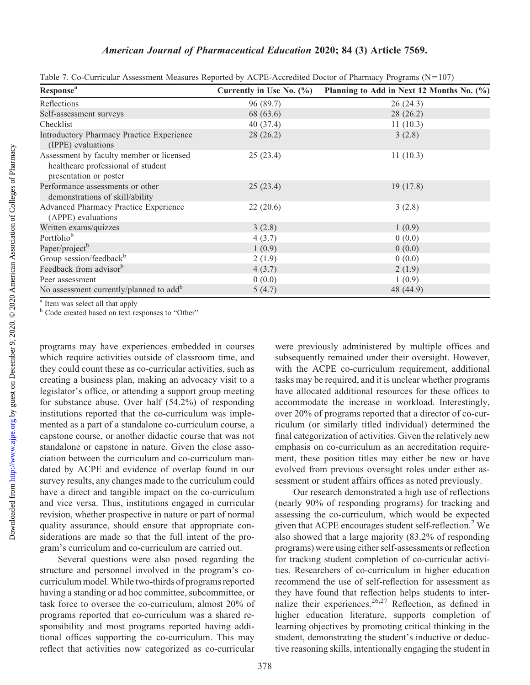| <b>Response</b> <sup>a</sup>                                                                             | Currently in Use No. (%) | Planning to Add in Next 12 Months No. (%) |
|----------------------------------------------------------------------------------------------------------|--------------------------|-------------------------------------------|
| Reflections                                                                                              | 96 (89.7)                | 26(24.3)                                  |
| Self-assessment surveys                                                                                  | 68 (63.6)                | 28(26.2)                                  |
| Checklist                                                                                                | 40 (37.4)                | 11(10.3)                                  |
| <b>Introductory Pharmacy Practice Experience</b><br>(IPPE) evaluations                                   | 28(26.2)                 | 3(2.8)                                    |
| Assessment by faculty member or licensed<br>healthcare professional of student<br>presentation or poster | 25(23.4)                 | 11(10.3)                                  |
| Performance assessments or other<br>demonstrations of skill/ability                                      | 25(23.4)                 | 19(17.8)                                  |
| Advanced Pharmacy Practice Experience<br>(APPE) evaluations                                              | 22(20.6)                 | 3(2.8)                                    |
| Written exams/quizzes                                                                                    | 3(2.8)                   | 1(0.9)                                    |
| Portfolio <sup>b</sup>                                                                                   | 4(3.7)                   | 0(0.0)                                    |
| Paper/project <sup>b</sup>                                                                               | 1(0.9)                   | 0(0.0)                                    |
| Group session/feedback <sup>b</sup>                                                                      | 2(1.9)                   | 0(0.0)                                    |
| Feedback from advisor <sup>b</sup>                                                                       | 4(3.7)                   | 2(1.9)                                    |
| Peer assessment                                                                                          | 0(0.0)                   | 1(0.9)                                    |
| No assessment currently/planned to add <sup>b</sup>                                                      | 5(4.7)                   | 48 (44.9)                                 |

Table 7. Co-Curricular Assessment Measures Reported by ACPE-Accredited Doctor of Pharmacy Programs (N=107)

<sup>a</sup> Item was select all that apply

<sup>b</sup> Code created based on text responses to "Other"

programs may have experiences embedded in courses which require activities outside of classroom time, and they could count these as co-curricular activities, such as creating a business plan, making an advocacy visit to a legislator's office, or attending a support group meeting for substance abuse. Over half (54.2%) of responding institutions reported that the co-curriculum was implemented as a part of a standalone co-curriculum course, a capstone course, or another didactic course that was not standalone or capstone in nature. Given the close association between the curriculum and co-curriculum mandated by ACPE and evidence of overlap found in our survey results, any changes made to the curriculum could have a direct and tangible impact on the co-curriculum and vice versa. Thus, institutions engaged in curricular revision, whether prospective in nature or part of normal quality assurance, should ensure that appropriate considerations are made so that the full intent of the program's curriculum and co-curriculum are carried out.

Several questions were also posed regarding the structure and personnel involved in the program's cocurriculum model. While two-thirds of programs reported having a standing or ad hoc committee, subcommittee, or task force to oversee the co-curriculum, almost 20% of programs reported that co-curriculum was a shared responsibility and most programs reported having additional offices supporting the co-curriculum. This may reflect that activities now categorized as co-curricular

were previously administered by multiple offices and subsequently remained under their oversight. However, with the ACPE co-curriculum requirement, additional tasks may be required, and it is unclear whether programs have allocated additional resources for these offices to accommodate the increase in workload. Interestingly, over 20% of programs reported that a director of co-curriculum (or similarly titled individual) determined the final categorization of activities. Given the relatively new emphasis on co-curriculum as an accreditation requirement, these position titles may either be new or have evolved from previous oversight roles under either assessment or student affairs offices as noted previously.

Our research demonstrated a high use of reflections (nearly 90% of responding programs) for tracking and assessing the co-curriculum, which would be expected given that ACPE encourages student self-reflection.<sup>2</sup> We also showed that a large majority (83.2% of responding programs) were using either self-assessments or reflection for tracking student completion of co-curricular activities. Researchers of co-curriculum in higher education recommend the use of self-reflection for assessment as they have found that reflection helps students to internalize their experiences.<sup>26,27</sup> Reflection, as defined in higher education literature, supports completion of learning objectives by promoting critical thinking in the student, demonstrating the student's inductive or deductive reasoning skills, intentionally engaging the student in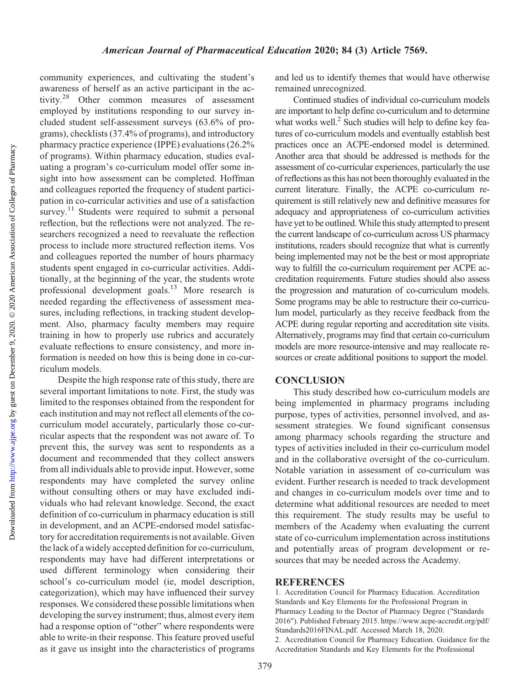community experiences, and cultivating the student's awareness of herself as an active participant in the activity.28 Other common measures of assessment employed by institutions responding to our survey included student self-assessment surveys (63.6% of programs), checklists (37.4% of programs), and introductory pharmacy practice experience (IPPE) evaluations (26.2% of programs). Within pharmacy education, studies evaluating a program's co-curriculum model offer some insight into how assessment can be completed. Hoffman and colleagues reported the frequency of student participation in co-curricular activities and use of a satisfaction survey.<sup>11</sup> Students were required to submit a personal reflection, but the reflections were not analyzed. The researchers recognized a need to reevaluate the reflection process to include more structured reflection items. Vos and colleagues reported the number of hours pharmacy students spent engaged in co-curricular activities. Additionally, at the beginning of the year, the students wrote professional development goals.13 More research is needed regarding the effectiveness of assessment measures, including reflections, in tracking student development. Also, pharmacy faculty members may require training in how to properly use rubrics and accurately evaluate reflections to ensure consistency, and more information is needed on how this is being done in co-curriculum models.

Despite the high response rate of this study, there are several important limitations to note. First, the study was limited to the responses obtained from the respondent for each institution and may not reflect all elements of the cocurriculum model accurately, particularly those co-curricular aspects that the respondent was not aware of. To prevent this, the survey was sent to respondents as a document and recommended that they collect answers from all individuals able to provide input. However, some respondents may have completed the survey online without consulting others or may have excluded individuals who had relevant knowledge. Second, the exact definition of co-curriculum in pharmacy education is still in development, and an ACPE-endorsed model satisfactory for accreditation requirements is not available. Given the lack of a widely accepted definition for co-curriculum, respondents may have had different interpretations or used different terminology when considering their school's co-curriculum model (ie, model description, categorization), which may have influenced their survey responses. We considered these possible limitations when developing the survey instrument; thus, almost every item had a response option of "other" where respondents were able to write-in their response. This feature proved useful as it gave us insight into the characteristics of programs

and led us to identify themes that would have otherwise remained unrecognized.

Continued studies of individual co-curriculum models are important to help define co-curriculum and to determine what works well. $^{2}$  Such studies will help to define key features of co-curriculum models and eventually establish best practices once an ACPE-endorsed model is determined. Another area that should be addressed is methods for the assessment of co-curricular experiences, particularly the use of reflections as this has not been thoroughly evaluated in the current literature. Finally, the ACPE co-curriculum requirement is still relatively new and definitive measures for adequacy and appropriateness of co-curriculum activities have yet to be outlined.While this study attempted to present the current landscape of co-curriculum across US pharmacy institutions, readers should recognize that what is currently being implemented may not be the best or most appropriate way to fulfill the co-curriculum requirement per ACPE accreditation requirements. Future studies should also assess the progression and maturation of co-curriculum models. Some programs may be able to restructure their co-curriculum model, particularly as they receive feedback from the ACPE during regular reporting and accreditation site visits. Alternatively, programs may find that certain co-curriculum models are more resource-intensive and may reallocate resources or create additional positions to support the model.

#### **CONCLUSION**

This study described how co-curriculum models are being implemented in pharmacy programs including purpose, types of activities, personnel involved, and assessment strategies. We found significant consensus among pharmacy schools regarding the structure and types of activities included in their co-curriculum model and in the collaborative oversight of the co-curriculum. Notable variation in assessment of co-curriculum was evident. Further research is needed to track development and changes in co-curriculum models over time and to determine what additional resources are needed to meet this requirement. The study results may be useful to members of the Academy when evaluating the current state of co-curriculum implementation across institutions and potentially areas of program development or resources that may be needed across the Academy.

#### **REFERENCES**

1. Accreditation Council for Pharmacy Education. Accreditation Standards and Key Elements for the Professional Program in Pharmacy Leading to the Doctor of Pharmacy Degree ("Standards 2016"). Published February 2015. [https://www.acpe-accredit.org/pdf/](https://www.acpe-accredit.org/pdf/Standards2016FINAL.pdf) [Standards2016FINAL.pdf.](https://www.acpe-accredit.org/pdf/Standards2016FINAL.pdf) Accessed March 18, 2020. 2. Accreditation Council for Pharmacy Education. Guidance for the Accreditation Standards and Key Elements for the Professional